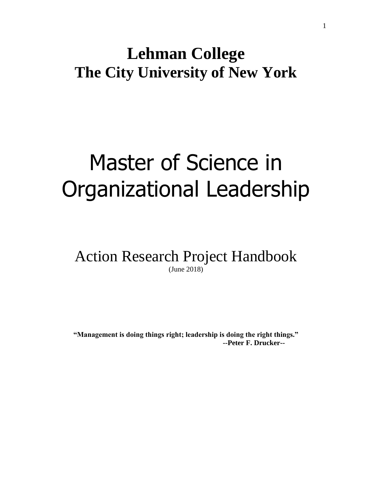# **Lehman College The City University of New York**

# Master of Science in Organizational Leadership

Action Research Project Handbook (June 2018)

**"Management is doing things right; leadership is doing the right things." --Peter F. Drucker--**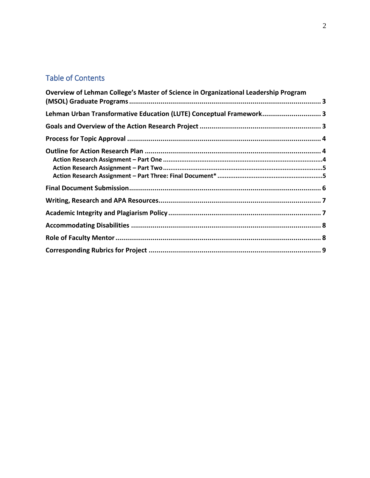### Table of Contents

| Overview of Lehman College's Master of Science in Organizational Leadership Program |  |
|-------------------------------------------------------------------------------------|--|
| Lehman Urban Transformative Education (LUTE) Conceptual Framework 3                 |  |
|                                                                                     |  |
|                                                                                     |  |
|                                                                                     |  |
|                                                                                     |  |
|                                                                                     |  |
|                                                                                     |  |
|                                                                                     |  |
|                                                                                     |  |
|                                                                                     |  |
|                                                                                     |  |
|                                                                                     |  |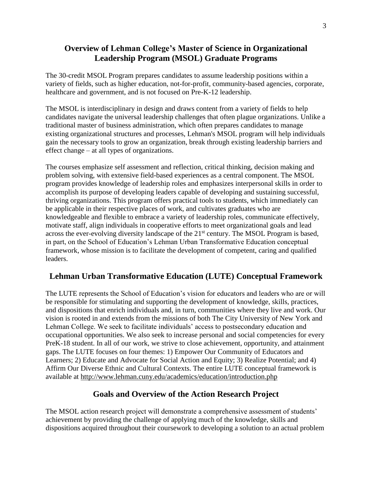#### <span id="page-2-0"></span>**Overview of Lehman College's Master of Science in Organizational Leadership Program (MSOL) Graduate Programs**

The 30-credit MSOL Program prepares candidates to assume leadership positions within a variety of fields, such as higher education, not-for-profit, community-based agencies, corporate, healthcare and government, and is not focused on Pre-K-12 leadership.

The MSOL is interdisciplinary in design and draws content from a variety of fields to help candidates navigate the universal leadership challenges that often plague organizations. Unlike a traditional master of business administration, which often prepares candidates to manage existing organizational structures and processes, Lehman's MSOL program will help individuals gain the necessary tools to grow an organization, break through existing leadership barriers and effect change – at all types of organizations.

The courses emphasize self assessment and reflection, critical thinking, decision making and problem solving, with extensive field-based experiences as a central component. The MSOL program provides knowledge of leadership roles and emphasizes interpersonal skills in order to accomplish its purpose of developing leaders capable of developing and sustaining successful, thriving organizations. This program offers practical tools to students, which immediately can be applicable in their respective places of work, and cultivates graduates who are knowledgeable and flexible to embrace a variety of leadership roles, communicate effectively, motivate staff, align individuals in cooperative efforts to meet organizational goals and lead across the ever-evolving diversity landscape of the 21<sup>st</sup> century. The MSOL Program is based, in part, on the School of Education's Lehman Urban Transformative Education conceptual framework, whose mission is to facilitate the development of competent, caring and qualified leaders.

#### <span id="page-2-1"></span>**Lehman Urban Transformative Education (LUTE) Conceptual Framework**

The LUTE represents the School of Education's vision for educators and leaders who are or will be responsible for stimulating and supporting the development of knowledge, skills, practices, and dispositions that enrich individuals and, in turn, communities where they live and work. Our vision is rooted in and extends from the missions of both The City University of New York and Lehman College. We seek to facilitate individuals' access to postsecondary education and occupational opportunities. We also seek to increase personal and social competencies for every PreK-18 student. In all of our work, we strive to close achievement, opportunity, and attainment gaps. The LUTE focuses on four themes: 1) Empower Our Community of Educators and Learners; 2) Educate and Advocate for Social Action and Equity; 3) Realize Potential; and 4) Affirm Our Diverse Ethnic and Cultural Contexts. The entire LUTE conceptual framework is available at<http://www.lehman.cuny.edu/academics/education/introduction.php>

#### **Goals and Overview of the Action Research Project**

<span id="page-2-2"></span>The MSOL action research project will demonstrate a comprehensive assessment of students' achievement by providing the challenge of applying much of the knowledge, skills and dispositions acquired throughout their coursework to developing a solution to an actual problem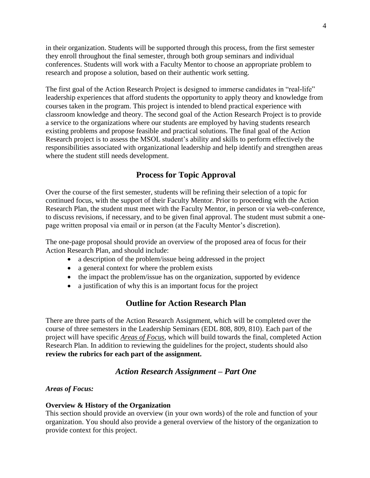in their organization. Students will be supported through this process, from the first semester they enroll throughout the final semester, through both group seminars and individual conferences. Students will work with a Faculty Mentor to choose an appropriate problem to research and propose a solution, based on their authentic work setting.

The first goal of the Action Research Project is designed to immerse candidates in "real-life" leadership experiences that afford students the opportunity to apply theory and knowledge from courses taken in the program. This project is intended to blend practical experience with classroom knowledge and theory. The second goal of the Action Research Project is to provide a service to the organizations where our students are employed by having students research existing problems and propose feasible and practical solutions. The final goal of the Action Research project is to assess the MSOL student's ability and skills to perform effectively the responsibilities associated with organizational leadership and help identify and strengthen areas where the student still needs development.

#### **Process for Topic Approval**

<span id="page-3-0"></span>Over the course of the first semester, students will be refining their selection of a topic for continued focus, with the support of their Faculty Mentor. Prior to proceeding with the Action Research Plan, the student must meet with the Faculty Mentor, in person or via web-conference, to discuss revisions, if necessary, and to be given final approval. The student must submit a onepage written proposal via email or in person (at the Faculty Mentor's discretion).

The one-page proposal should provide an overview of the proposed area of focus for their Action Research Plan, and should include:

- a description of the problem/issue being addressed in the project
- a general context for where the problem exists
- the impact the problem/issue has on the organization, supported by evidence
- a justification of why this is an important focus for the project

#### **Outline for Action Research Plan**

<span id="page-3-1"></span>There are three parts of the Action Research Assignment, which will be completed over the course of three semesters in the Leadership Seminars (EDL 808, 809, 810). Each part of the project will have specific *Areas of Focus*, which will build towards the final, completed Action Research Plan. In addition to reviewing the guidelines for the project, students should also **review the rubrics for each part of the assignment.**

#### *Action Research Assignment – Part One*

#### <span id="page-3-2"></span>*Areas of Focus:*

#### **Overview & History of the Organization**

This section should provide an overview (in your own words) of the role and function of your organization. You should also provide a general overview of the history of the organization to provide context for this project.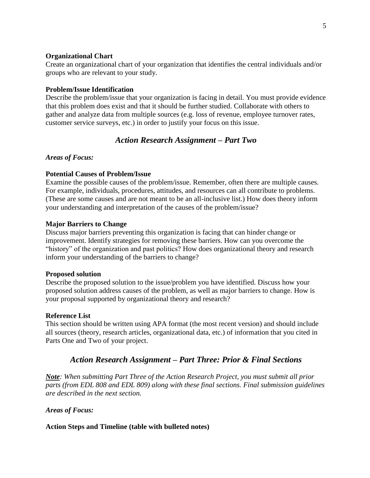#### **Organizational Chart**

Create an organizational chart of your organization that identifies the central individuals and/or groups who are relevant to your study.

#### **Problem/Issue Identification**

Describe the problem/issue that your organization is facing in detail. You must provide evidence that this problem does exist and that it should be further studied. Collaborate with others to gather and analyze data from multiple sources (e.g. loss of revenue, employee turnover rates, customer service surveys, etc.) in order to justify your focus on this issue.

#### *Action Research Assignment – Part Two*

#### <span id="page-4-0"></span>*Areas of Focus:*

#### **Potential Causes of Problem/Issue**

Examine the possible causes of the problem/issue. Remember, often there are multiple causes. For example, individuals, procedures, attitudes, and resources can all contribute to problems. (These are some causes and are not meant to be an all-inclusive list.) How does theory inform your understanding and interpretation of the causes of the problem/issue?

#### **Major Barriers to Change**

Discuss major barriers preventing this organization is facing that can hinder change or improvement. Identify strategies for removing these barriers. How can you overcome the "history" of the organization and past politics? How does organizational theory and research inform your understanding of the barriers to change?

#### **Proposed solution**

Describe the proposed solution to the issue/problem you have identified. Discuss how your proposed solution address causes of the problem, as well as major barriers to change. How is your proposal supported by organizational theory and research?

#### **Reference List**

<span id="page-4-1"></span>This section should be written using APA format (the most recent version) and should include all sources (theory, research articles, organizational data, etc.) of information that you cited in Parts One and Two of your project.

#### *Action Research Assignment – Part Three: Prior & Final Sections*

*Note: When submitting Part Three of the Action Research Project, you must submit all prior parts (from EDL 808 and EDL 809) along with these final sections. Final submission guidelines are described in the next section.*

#### *Areas of Focus:*

#### **Action Steps and Timeline (table with bulleted notes)**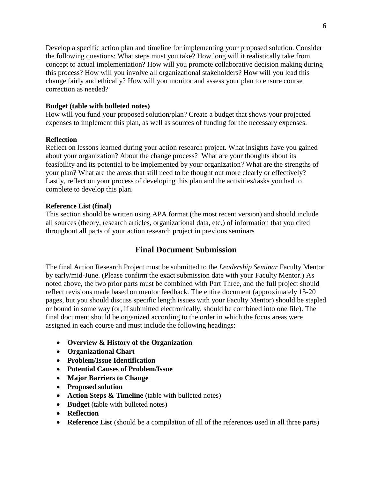Develop a specific action plan and timeline for implementing your proposed solution. Consider the following questions: What steps must you take? How long will it realistically take from concept to actual implementation? How will you promote collaborative decision making during this process? How will you involve all organizational stakeholders? How will you lead this change fairly and ethically? How will you monitor and assess your plan to ensure course correction as needed?

#### **Budget (table with bulleted notes)**

How will you fund your proposed solution/plan? Create a budget that shows your projected expenses to implement this plan, as well as sources of funding for the necessary expenses.

#### **Reflection**

Reflect on lessons learned during your action research project. What insights have you gained about your organization? About the change process? What are your thoughts about its feasibility and its potential to be implemented by your organization? What are the strengths of your plan? What are the areas that still need to be thought out more clearly or effectively? Lastly, reflect on your process of developing this plan and the activities/tasks you had to complete to develop this plan.

#### **Reference List (final)**

This section should be written using APA format (the most recent version) and should include all sources (theory, research articles, organizational data, etc.) of information that you cited throughout all parts of your action research project in previous seminars

#### **Final Document Submission**

<span id="page-5-0"></span>The final Action Research Project must be submitted to the *Leadership Seminar* Faculty Mentor by early/mid-June. (Please confirm the exact submission date with your Faculty Mentor.) As noted above, the two prior parts must be combined with Part Three, and the full project should reflect revisions made based on mentor feedback. The entire document (approximately 15-20 pages, but you should discuss specific length issues with your Faculty Mentor) should be stapled or bound in some way (or, if submitted electronically, should be combined into one file). The final document should be organized according to the order in which the focus areas were assigned in each course and must include the following headings:

- **Overview & History of the Organization**
- **Organizational Chart**
- **Problem/Issue Identification**
- **Potential Causes of Problem/Issue**
- **Major Barriers to Change**
- **Proposed solution**
- **Action Steps & Timeline** (table with bulleted notes)
- **Budget** (table with bulleted notes)
- **Reflection**
- **Reference List** (should be a compilation of all of the references used in all three parts)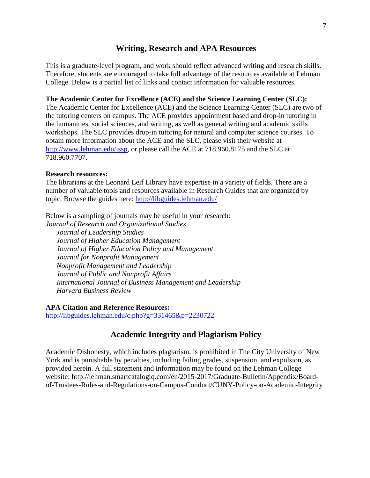#### **Writing, Research and APA Resources**

<span id="page-6-0"></span>This is a graduate-level program, and work should reflect advanced writing and research skills. Therefore, students are encouraged to take full advantage of the resources available at Lehman College. Below is a partial list of links and contact information for valuable resources.

#### **The Academic Center for Excellence (ACE) and the Science Learning Center (SLC):**

The Academic Center for Excellence (ACE) and the Science Learning Center (SLC) are two of the tutoring centers on campus. The ACE provides appointment based and drop-in tutoring in the humanities, social sciences, and writing, as well as general writing and academic skills workshops. The SLC provides drop-in tutoring for natural and computer science courses. To obtain more information about the ACE and the SLC, please visit their website at [http://www.lehman.edu/issp,](http://www.lehman.edu/issp) or please call the ACE at 718.960.8175 and the SLC at 718.960.7707.

#### **Research resources:**

The librarians at the Leonard Leif Library have expertise in a variety of fields. There are a number of valuable tools and resources available in Research Guides that are organized by topic. Browse the guides here:<http://libguides.lehman.edu/>

Below is a sampling of journals may be useful in your research:

*Journal of Research and Organizational Studies Journal of Leadership Studies Journal of Higher Education Management Journal of Higher Education Policy and Management Journal for Nonprofit Management Nonprofit Management and Leadership Journal of Public and Nonprofit Affairs International Journal of Business Management and Leadership Harvard Business Review*

#### **APA Citation and Reference Resources:**

<span id="page-6-1"></span><http://libguides.lehman.edu/c.php?g=331465&p=2230722>

#### **Academic Integrity and Plagiarism Policy**

Academic Dishonesty, which includes plagiarism, is prohibited in The City University of New York and is punishable by penalties, including failing grades, suspension, and expulsion, as provided herein. A full statement and information may be found on the Lehman College website: http://lehman.smartcatalogiq.com/en/2015-2017/Graduate-Bulletin/Appendix/Boardof-Trustees-Rules-and-Regulations-on-Campus-Conduct/CUNY-Policy-on-Academic-Integrity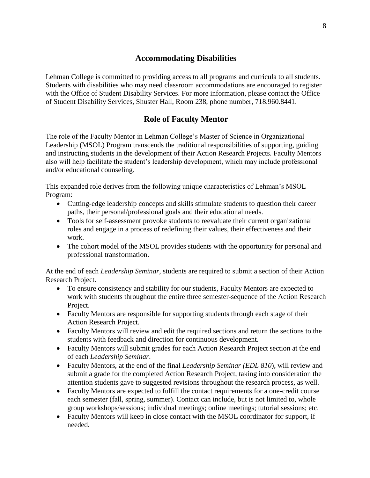#### **Accommodating Disabilities**

<span id="page-7-0"></span>Lehman College is committed to providing access to all programs and curricula to all students. Students with disabilities who may need classroom accommodations are encouraged to register with the Office of Student Disability Services. For more information, please contact the Office of Student Disability Services, Shuster Hall, Room 238, phone number, 718.960.8441.

#### **Role of Faculty Mentor**

<span id="page-7-1"></span>The role of the Faculty Mentor in Lehman College's Master of Science in Organizational Leadership (MSOL) Program transcends the traditional responsibilities of supporting, guiding and instructing students in the development of their Action Research Projects. Faculty Mentors also will help facilitate the student's leadership development, which may include professional and/or educational counseling.

This expanded role derives from the following unique characteristics of Lehman's MSOL Program:

- Cutting-edge leadership concepts and skills stimulate students to question their career paths, their personal/professional goals and their educational needs.
- Tools for self-assessment provoke students to reevaluate their current organizational roles and engage in a process of redefining their values, their effectiveness and their work.
- The cohort model of the MSOL provides students with the opportunity for personal and professional transformation.

At the end of each *Leadership Seminar*, students are required to submit a section of their Action Research Project.

- To ensure consistency and stability for our students, Faculty Mentors are expected to work with students throughout the entire three semester-sequence of the Action Research Project.
- Faculty Mentors are responsible for supporting students through each stage of their Action Research Project.
- Faculty Mentors will review and edit the required sections and return the sections to the students with feedback and direction for continuous development.
- Faculty Mentors will submit grades for each Action Research Project section at the end of each *Leadership Seminar*.
- Faculty Mentors, at the end of the final *Leadership Seminar (EDL 810*), will review and submit a grade for the completed Action Research Project, taking into consideration the attention students gave to suggested revisions throughout the research process, as well.
- Faculty Mentors are expected to fulfill the contact requirements for a one-credit course each semester (fall, spring, summer). Contact can include, but is not limited to, whole group workshops/sessions; individual meetings; online meetings; tutorial sessions; etc.
- Faculty Mentors will keep in close contact with the MSOL coordinator for support, if needed.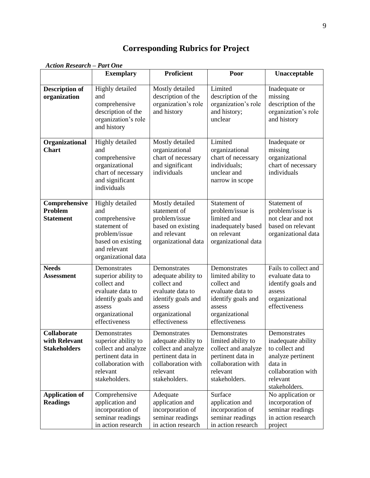## **Corresponding Rubrics for Project**

<span id="page-8-0"></span>

|                                                     | <b>Exemplary</b>                                                                                                                          | <b>Proficient</b>                                                                                                                         | Poor                                                                                                                                     | Unacceptable                                                                                                                            |
|-----------------------------------------------------|-------------------------------------------------------------------------------------------------------------------------------------------|-------------------------------------------------------------------------------------------------------------------------------------------|------------------------------------------------------------------------------------------------------------------------------------------|-----------------------------------------------------------------------------------------------------------------------------------------|
| <b>Description of</b><br>organization               | <b>Highly</b> detailed<br>and<br>comprehensive<br>description of the<br>organization's role<br>and history                                | Mostly detailed<br>description of the<br>organization's role<br>and history                                                               | Limited<br>description of the<br>organization's role<br>and history;<br>unclear                                                          | Inadequate or<br>missing<br>description of the<br>organization's role<br>and history                                                    |
| Organizational<br><b>Chart</b>                      | Highly detailed<br>and<br>comprehensive<br>organizational<br>chart of necessary<br>and significant<br>individuals                         | Mostly detailed<br>organizational<br>chart of necessary<br>and significant<br>individuals                                                 | Limited<br>organizational<br>chart of necessary<br>individuals;<br>unclear and<br>narrow in scope                                        | Inadequate or<br>missing<br>organizational<br>chart of necessary<br>individuals                                                         |
| Comprehensive<br>Problem<br><b>Statement</b>        | Highly detailed<br>and<br>comprehensive<br>statement of<br>problem/issue<br>based on existing<br>and relevant<br>organizational data      | Mostly detailed<br>statement of<br>problem/issue<br>based on existing<br>and relevant<br>organizational data                              | Statement of<br>problem/issue is<br>limited and<br>inadequately based<br>on relevant<br>organizational data                              | Statement of<br>problem/issue is<br>not clear and not<br>based on relevant<br>organizational data                                       |
| <b>Needs</b><br><b>Assessment</b>                   | Demonstrates<br>superior ability to<br>collect and<br>evaluate data to<br>identify goals and<br>assess<br>organizational<br>effectiveness | Demonstrates<br>adequate ability to<br>collect and<br>evaluate data to<br>identify goals and<br>assess<br>organizational<br>effectiveness | Demonstrates<br>limited ability to<br>collect and<br>evaluate data to<br>identify goals and<br>assess<br>organizational<br>effectiveness | Fails to collect and<br>evaluate data to<br>identify goals and<br>assess<br>organizational<br>effectiveness                             |
| Collaborate<br>with Relevant<br><b>Stakeholders</b> | Demonstrates<br>superior ability to<br>collect and analyze<br>pertinent data in<br>collaboration with<br>relevant<br>stakeholders.        | Demonstrates<br>adequate ability to<br>collect and analyze<br>pertinent data in<br>collaboration with<br>relevant<br>stakeholders.        | Demonstrates<br>limited ability to<br>collect and analyze<br>pertinent data in<br>collaboration with<br>relevant<br>stakeholders.        | Demonstrates<br>inadequate ability<br>to collect and<br>analyze pertinent<br>data in<br>collaboration with<br>relevant<br>stakeholders. |
| <b>Application of</b><br><b>Readings</b>            | Comprehensive<br>application and<br>incorporation of<br>seminar readings<br>in action research                                            | Adequate<br>application and<br>incorporation of<br>seminar readings<br>in action research                                                 | Surface<br>application and<br>incorporation of<br>seminar readings<br>in action research                                                 | No application or<br>incorporation of<br>seminar readings<br>in action research<br>project                                              |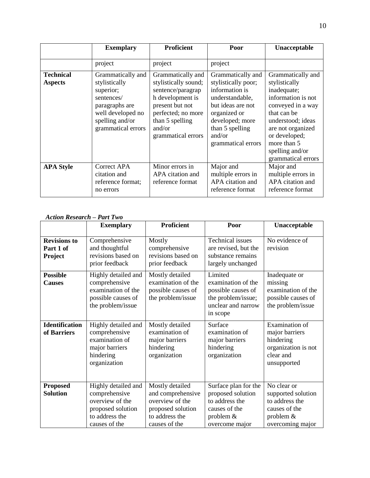|                                    | <b>Exemplary</b>                                                                                                                              | <b>Proficient</b>                                                                                                                                                              | Poor                                                                                                                                                                                     | Unacceptable                                                                                                                                                                                                                   |
|------------------------------------|-----------------------------------------------------------------------------------------------------------------------------------------------|--------------------------------------------------------------------------------------------------------------------------------------------------------------------------------|------------------------------------------------------------------------------------------------------------------------------------------------------------------------------------------|--------------------------------------------------------------------------------------------------------------------------------------------------------------------------------------------------------------------------------|
|                                    | project                                                                                                                                       | project                                                                                                                                                                        | project                                                                                                                                                                                  |                                                                                                                                                                                                                                |
| <b>Technical</b><br><b>Aspects</b> | Grammatically and<br>stylistically<br>superior;<br>sentences/<br>paragraphs are<br>well developed no<br>spelling and/or<br>grammatical errors | Grammatically and<br>stylistically sound;<br>sentence/paragrap<br>h development is<br>present but not<br>perfected; no more<br>than 5 spelling<br>and/or<br>grammatical errors | Grammatically and<br>stylistically poor;<br>information is<br>understandable,<br>but ideas are not<br>organized or<br>developed; more<br>than 5 spelling<br>and/or<br>grammatical errors | Grammatically and<br>stylistically<br>inadequate;<br>information is not<br>conveyed in a way<br>that can be<br>understood; ideas<br>are not organized<br>or developed;<br>more than 5<br>spelling and/or<br>grammatical errors |
| <b>APA Style</b>                   | Correct APA<br>citation and<br>reference format;<br>no errors                                                                                 | Minor errors in<br>APA citation and<br>reference format                                                                                                                        | Major and<br>multiple errors in<br>APA citation and<br>reference format                                                                                                                  | Major and<br>multiple errors in<br>APA citation and<br>reference format                                                                                                                                                        |

#### *Action Research – Part Two*

|                                             | <b>Exemplary</b>                                                                                                | <b>Proficient</b>                                                                                               | Poor                                                                                                          | Unacceptable                                                                                            |
|---------------------------------------------|-----------------------------------------------------------------------------------------------------------------|-----------------------------------------------------------------------------------------------------------------|---------------------------------------------------------------------------------------------------------------|---------------------------------------------------------------------------------------------------------|
| <b>Revisions to</b><br>Part 1 of<br>Project | Comprehensive<br>and thoughtful<br>revisions based on<br>prior feedback                                         | Mostly<br>comprehensive<br>revisions based on<br>prior feedback                                                 | Technical issues<br>are revised, but the<br>substance remains<br>largely unchanged                            | No evidence of<br>revision                                                                              |
| <b>Possible</b><br><b>Causes</b>            | Highly detailed and<br>comprehensive<br>examination of the<br>possible causes of<br>the problem/issue           | Mostly detailed<br>examination of the<br>possible causes of<br>the problem/issue                                | Limited<br>examination of the<br>possible causes of<br>the problem/issue;<br>unclear and narrow<br>in scope   | Inadequate or<br>missing<br>examination of the<br>possible causes of<br>the problem/issue               |
| <b>Identification</b><br>of Barriers        | Highly detailed and<br>comprehensive<br>examination of<br>major barriers<br>hindering<br>organization           | Mostly detailed<br>examination of<br>major barriers<br>hindering<br>organization                                | Surface<br>examination of<br>major barriers<br>hindering<br>organization                                      | Examination of<br>major barriers<br>hindering<br>organization is not<br>clear and<br>unsupported        |
| <b>Proposed</b><br><b>Solution</b>          | Highly detailed and<br>comprehensive<br>overview of the<br>proposed solution<br>to address the<br>causes of the | Mostly detailed<br>and comprehensive<br>overview of the<br>proposed solution<br>to address the<br>causes of the | Surface plan for the<br>proposed solution<br>to address the<br>causes of the<br>problem $&$<br>overcome major | No clear or<br>supported solution<br>to address the<br>causes of the<br>problem $&$<br>overcoming major |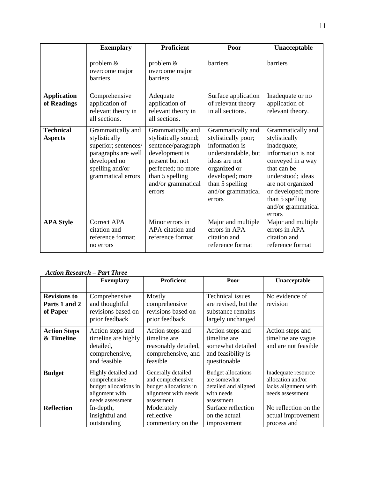|                                    | <b>Exemplary</b>                                                                                                                           | <b>Proficient</b>                                                                                                                                                             | Poor                                                                                                                                                                                     | Unacceptable                                                                                                                                                                                                                   |
|------------------------------------|--------------------------------------------------------------------------------------------------------------------------------------------|-------------------------------------------------------------------------------------------------------------------------------------------------------------------------------|------------------------------------------------------------------------------------------------------------------------------------------------------------------------------------------|--------------------------------------------------------------------------------------------------------------------------------------------------------------------------------------------------------------------------------|
|                                    | problem $&$<br>overcome major<br><b>barriers</b>                                                                                           | problem $&$<br>overcome major<br>harriers                                                                                                                                     | barriers                                                                                                                                                                                 | barriers                                                                                                                                                                                                                       |
| <b>Application</b><br>of Readings  | Comprehensive<br>application of<br>relevant theory in<br>all sections.                                                                     | Adequate<br>application of<br>relevant theory in<br>all sections.                                                                                                             | Surface application<br>of relevant theory<br>in all sections.                                                                                                                            | Inadequate or no<br>application of<br>relevant theory.                                                                                                                                                                         |
| <b>Technical</b><br><b>Aspects</b> | Grammatically and<br>stylistically<br>superior; sentences/<br>paragraphs are well<br>developed no<br>spelling and/or<br>grammatical errors | Grammatically and<br>stylistically sound;<br>sentence/paragraph<br>development is<br>present but not<br>perfected; no more<br>than 5 spelling<br>and/or grammatical<br>errors | Grammatically and<br>stylistically poor;<br>information is<br>understandable, but<br>ideas are not<br>organized or<br>developed; more<br>than 5 spelling<br>and/or grammatical<br>errors | Grammatically and<br>stylistically<br>inadequate;<br>information is not<br>conveyed in a way<br>that can be<br>understood; ideas<br>are not organized<br>or developed; more<br>than 5 spelling<br>and/or grammatical<br>errors |
| <b>APA Style</b>                   | <b>Correct APA</b><br>citation and<br>reference format;<br>no errors                                                                       | Minor errors in<br>APA citation and<br>reference format                                                                                                                       | Major and multiple<br>errors in APA<br>citation and<br>reference format                                                                                                                  | Major and multiple<br>errors in APA<br>citation and<br>reference format                                                                                                                                                        |

#### *Action Research – Part Three*

|                                                  | <b>Exemplary</b>                                                                                    | <b>Proficient</b>                                                                                      | Poor                                                                                          | Unacceptable                                                                         |
|--------------------------------------------------|-----------------------------------------------------------------------------------------------------|--------------------------------------------------------------------------------------------------------|-----------------------------------------------------------------------------------------------|--------------------------------------------------------------------------------------|
|                                                  |                                                                                                     |                                                                                                        |                                                                                               |                                                                                      |
| <b>Revisions to</b><br>Parts 1 and 2<br>of Paper | Comprehensive<br>and thoughtful<br>revisions based on<br>prior feedback                             | Mostly<br>comprehensive<br>revisions based on<br>prior feedback                                        | <b>Technical issues</b><br>are revised, but the<br>substance remains<br>largely unchanged     | No evidence of<br>revision                                                           |
| <b>Action Steps</b><br>& Timeline                | Action steps and<br>timeline are highly<br>detailed,<br>comprehensive,<br>and feasible              | Action steps and<br>timeline are<br>reasonably detailed,<br>comprehensive, and<br>feasible             | Action steps and<br>timeline are<br>somewhat detailed<br>and feasibility is<br>questionable   | Action steps and<br>timeline are vague<br>and are not feasible                       |
| <b>Budget</b>                                    | Highly detailed and<br>comprehensive<br>budget allocations in<br>alignment with<br>needs assessment | Generally detailed<br>and comprehensive<br>budget allocations in<br>alignment with needs<br>assessment | <b>Budget allocations</b><br>are somewhat<br>detailed and aligned<br>with needs<br>assessment | Inadequate resource<br>allocation and/or<br>lacks alignment with<br>needs assessment |
| <b>Reflection</b>                                | In-depth,<br>insightful and<br>outstanding                                                          | Moderately<br>reflective<br>commentary on the                                                          | Surface reflection<br>on the actual<br>improvement                                            | No reflection on the<br>actual improvement<br>process and                            |